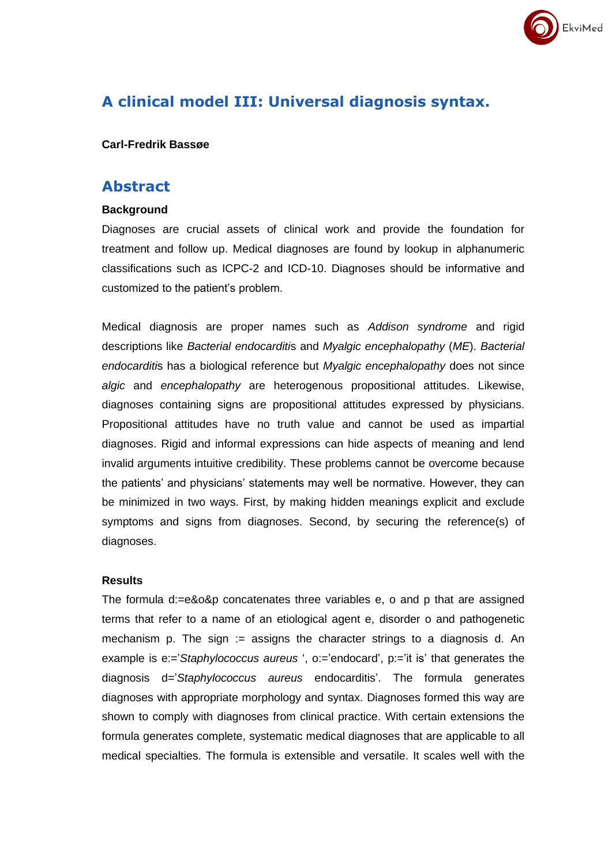

# **A clinical model III: Universal diagnosis syntax.**

#### **Carl-Fredrik Bassøe**

### **Abstract**

#### **Background**

Diagnoses are crucial assets of clinical work and provide the foundation for treatment and follow up. Medical diagnoses are found by lookup in alphanumeric classifications such as ICPC-2 and ICD-10. Diagnoses should be informative and customized to the patient's problem.

Medical diagnosis are proper names such as *Addison syndrome* and rigid descriptions like *Bacterial endocarditi*s and *Myalgic encephalopathy* (*ME*). *Bacterial endocarditi*s has a biological reference but *Myalgic encephalopathy* does not since *algic* and *encephalopathy* are heterogenous propositional attitudes. Likewise, diagnoses containing signs are propositional attitudes expressed by physicians. Propositional attitudes have no truth value and cannot be used as impartial diagnoses. Rigid and informal expressions can hide aspects of meaning and lend invalid arguments intuitive credibility. These problems cannot be overcome because the patients' and physicians' statements may well be normative. However, they can be minimized in two ways. First, by making hidden meanings explicit and exclude symptoms and signs from diagnoses. Second, by securing the reference(s) of diagnoses.

#### **Results**

The formula d:=e&o&p concatenates three variables e, o and p that are assigned terms that refer to a name of an etiological agent e, disorder o and pathogenetic mechanism p. The sign  $:=$  assigns the character strings to a diagnosis d. An example is e:='*Staphylococcus aureus* ', o:='endocard', p:='it is' that generates the diagnosis d='*Staphylococcus aureus* endocarditis'. The formula generates diagnoses with appropriate morphology and syntax. Diagnoses formed this way are shown to comply with diagnoses from clinical practice. With certain extensions the formula generates complete, systematic medical diagnoses that are applicable to all medical specialties. The formula is extensible and versatile. It scales well with the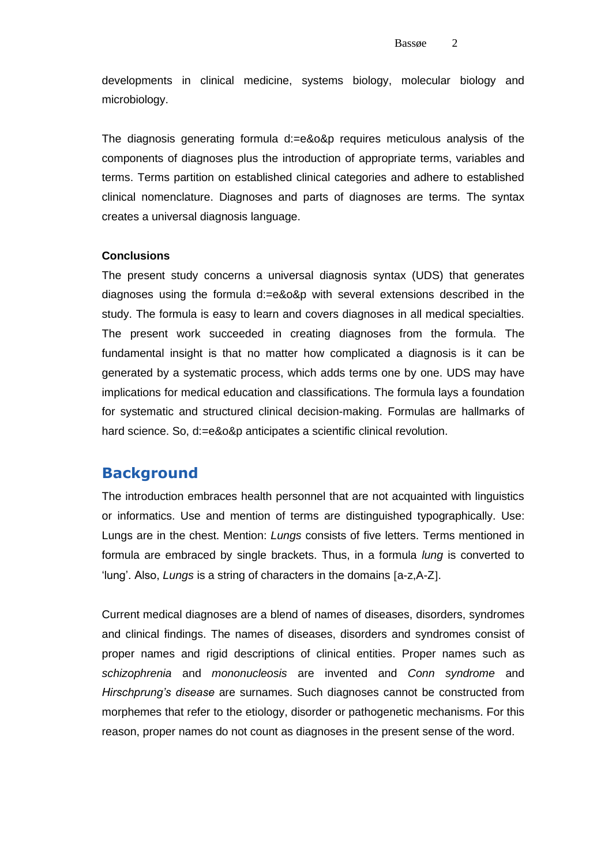developments in clinical medicine, systems biology, molecular biology and microbiology.

The diagnosis generating formula d:=e&o&p requires meticulous analysis of the components of diagnoses plus the introduction of appropriate terms, variables and terms. Terms partition on established clinical categories and adhere to established clinical nomenclature. Diagnoses and parts of diagnoses are terms. The syntax creates a universal diagnosis language.

#### **Conclusions**

The present study concerns a universal diagnosis syntax (UDS) that generates diagnoses using the formula d:=e&o&p with several extensions described in the study. The formula is easy to learn and covers diagnoses in all medical specialties. The present work succeeded in creating diagnoses from the formula. The fundamental insight is that no matter how complicated a diagnosis is it can be generated by a systematic process, which adds terms one by one. UDS may have implications for medical education and classifications. The formula lays a foundation for systematic and structured clinical decision-making. Formulas are hallmarks of hard science. So, d:=e&o&p anticipates a scientific clinical revolution.

## **Background**

The introduction embraces health personnel that are not acquainted with linguistics or informatics. Use and mention of terms are distinguished typographically. Use: Lungs are in the chest. Mention: *Lungs* consists of five letters. Terms mentioned in formula are embraced by single brackets. Thus, in a formula *lung* is converted to 'lung'. Also, *Lungs* is a string of characters in the domains [a-z,A-Z].

Current medical diagnoses are a blend of names of diseases, disorders, syndromes and clinical findings. The names of diseases, disorders and syndromes consist of proper names and rigid descriptions of clinical entities. Proper names such as *schizophrenia* and *mononucleosis* are invented and *Conn syndrome* and *Hirschprung's disease* are surnames. Such diagnoses cannot be constructed from morphemes that refer to the etiology, disorder or pathogenetic mechanisms. For this reason, proper names do not count as diagnoses in the present sense of the word.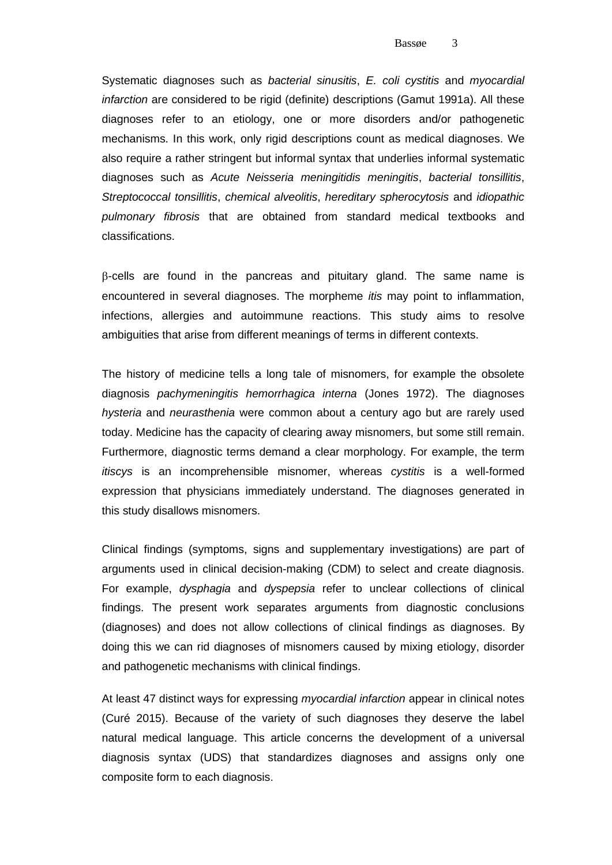Systematic diagnoses such as *bacterial sinusitis*, *E. coli cystitis* and *myocardial infarction* are considered to be rigid (definite) descriptions (Gamut 1991a). All these diagnoses refer to an etiology, one or more disorders and/or pathogenetic mechanisms. In this work, only rigid descriptions count as medical diagnoses. We also require a rather stringent but informal syntax that underlies informal systematic diagnoses such as *Acute Neisseria meningitidis meningitis*, *bacterial tonsillitis*, *Streptococcal tonsillitis*, *chemical alveolitis*, *hereditary spherocytosis* and *idiopathic pulmonary fibrosis* that are obtained from standard medical textbooks and classifications.

-cells are found in the pancreas and pituitary gland. The same name is encountered in several diagnoses. The morpheme *itis* may point to inflammation, infections, allergies and autoimmune reactions. This study aims to resolve ambiguities that arise from different meanings of terms in different contexts.

The history of medicine tells a long tale of misnomers, for example the obsolete diagnosis *pachymeningitis hemorrhagica interna* (Jones 1972). The diagnoses *hysteria* and *neurasthenia* were common about a century ago but are rarely used today. Medicine has the capacity of clearing away misnomers, but some still remain. Furthermore, diagnostic terms demand a clear morphology. For example, the term *itiscys* is an incomprehensible misnomer, whereas *cystitis* is a well-formed expression that physicians immediately understand. The diagnoses generated in this study disallows misnomers.

Clinical findings (symptoms, signs and supplementary investigations) are part of arguments used in clinical decision-making (CDM) to select and create diagnosis. For example, *dysphagia* and *dyspepsia* refer to unclear collections of clinical findings. The present work separates arguments from diagnostic conclusions (diagnoses) and does not allow collections of clinical findings as diagnoses. By doing this we can rid diagnoses of misnomers caused by mixing etiology, disorder and pathogenetic mechanisms with clinical findings.

At least 47 distinct ways for expressing *myocardial infarction* appear in clinical notes (Curé 2015). Because of the variety of such diagnoses they deserve the label natural medical language. This article concerns the development of a universal diagnosis syntax (UDS) that standardizes diagnoses and assigns only one composite form to each diagnosis.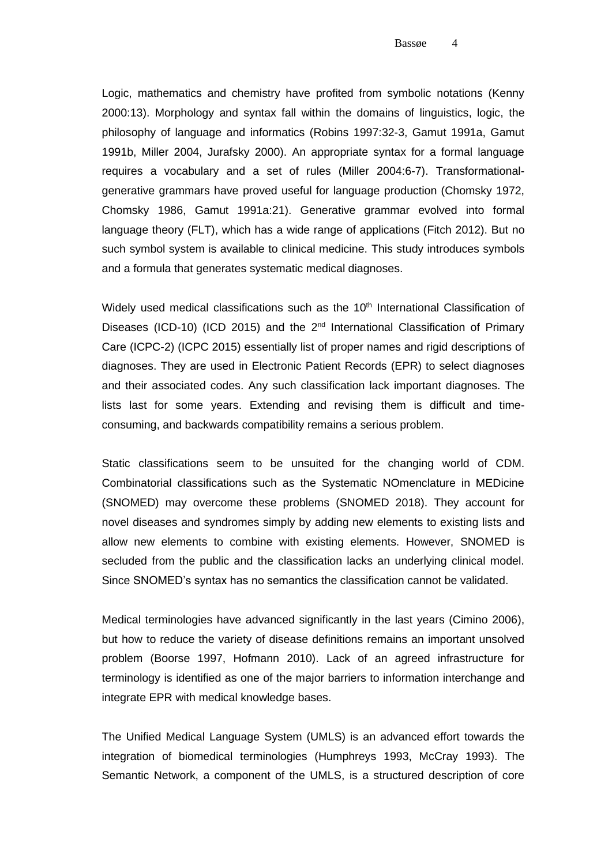Logic, mathematics and chemistry have profited from symbolic notations (Kenny 2000:13). Morphology and syntax fall within the domains of linguistics, logic, the philosophy of language and informatics (Robins 1997:32-3, Gamut 1991a, Gamut 1991b, Miller 2004, Jurafsky 2000). An appropriate syntax for a formal language requires a vocabulary and a set of rules (Miller 2004:6-7). Transformationalgenerative grammars have proved useful for language production (Chomsky 1972, Chomsky 1986, Gamut 1991a:21). Generative grammar evolved into formal language theory (FLT), which has a wide range of applications (Fitch 2012). But no such symbol system is available to clinical medicine. This study introduces symbols and a formula that generates systematic medical diagnoses.

Widely used medical classifications such as the 10<sup>th</sup> International Classification of Diseases (ICD-10) (ICD 2015) and the  $2<sup>nd</sup>$  International Classification of Primary Care (ICPC-2) (ICPC 2015) essentially list of proper names and rigid descriptions of diagnoses. They are used in Electronic Patient Records (EPR) to select diagnoses and their associated codes. Any such classification lack important diagnoses. The lists last for some years. Extending and revising them is difficult and timeconsuming, and backwards compatibility remains a serious problem.

Static classifications seem to be unsuited for the changing world of CDM. Combinatorial classifications such as the Systematic NOmenclature in MEDicine (SNOMED) may overcome these problems (SNOMED 2018). They account for novel diseases and syndromes simply by adding new elements to existing lists and allow new elements to combine with existing elements. However, SNOMED is secluded from the public and the classification lacks an underlying clinical model. Since SNOMED's syntax has no semantics the classification cannot be validated.

Medical terminologies have advanced significantly in the last years (Cimino 2006), but how to reduce the variety of disease definitions remains an important unsolved problem (Boorse 1997, Hofmann 2010). Lack of an agreed infrastructure for terminology is identified as one of the major barriers to information interchange and integrate EPR with medical knowledge bases.

The Unified Medical Language System (UMLS) is an advanced effort towards the integration of biomedical terminologies (Humphreys 1993, McCray 1993). The Semantic Network, a component of the UMLS, is a structured description of core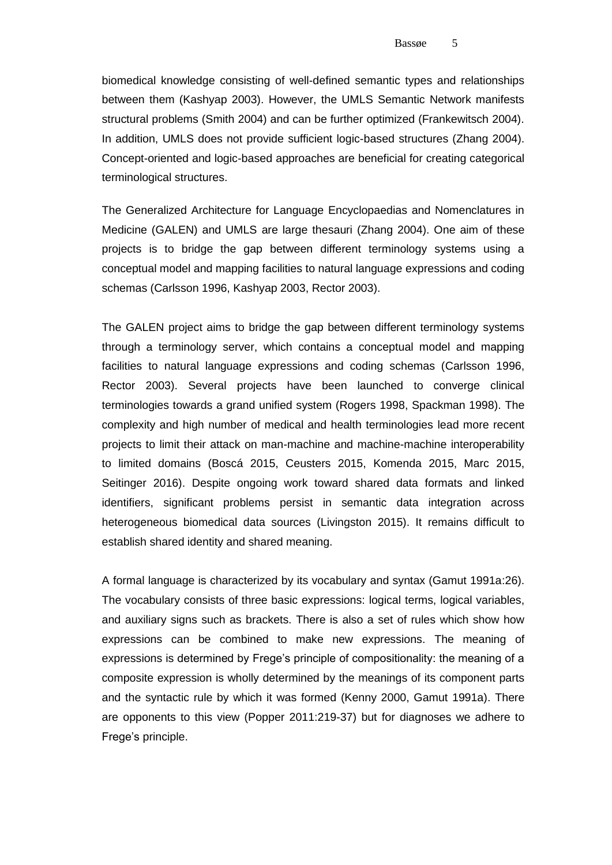biomedical knowledge consisting of well-defined semantic types and relationships between them (Kashyap 2003). However, the UMLS Semantic Network manifests structural problems (Smith 2004) and can be further optimized (Frankewitsch 2004). In addition, UMLS does not provide sufficient logic-based structures (Zhang 2004). Concept-oriented and logic-based approaches are beneficial for creating categorical terminological structures.

The Generalized Architecture for Language Encyclopaedias and Nomenclatures in Medicine (GALEN) and UMLS are large thesauri (Zhang 2004). One aim of these projects is to bridge the gap between different terminology systems using a conceptual model and mapping facilities to natural language expressions and coding schemas (Carlsson 1996, Kashyap 2003, Rector 2003).

The GALEN project aims to bridge the gap between different terminology systems through a terminology server, which contains a conceptual model and mapping facilities to natural language expressions and coding schemas (Carlsson 1996, Rector 2003). Several projects have been launched to converge clinical terminologies towards a grand unified system (Rogers 1998, Spackman 1998). The complexity and high number of medical and health terminologies lead more recent projects to limit their attack on man-machine and machine-machine interoperability to limited domains (Boscá 2015, Ceusters 2015, Komenda 2015, Marc 2015, Seitinger 2016). Despite ongoing work toward shared data formats and linked identifiers, significant problems persist in semantic data integration across heterogeneous biomedical data sources (Livingston 2015). It remains difficult to establish shared identity and shared meaning.

A formal language is characterized by its vocabulary and syntax (Gamut 1991a:26). The vocabulary consists of three basic expressions: logical terms, logical variables, and auxiliary signs such as brackets. There is also a set of rules which show how expressions can be combined to make new expressions. The meaning of expressions is determined by Frege's principle of compositionality: the meaning of a composite expression is wholly determined by the meanings of its component parts and the syntactic rule by which it was formed (Kenny 2000, Gamut 1991a). There are opponents to this view (Popper 2011:219-37) but for diagnoses we adhere to Frege's principle.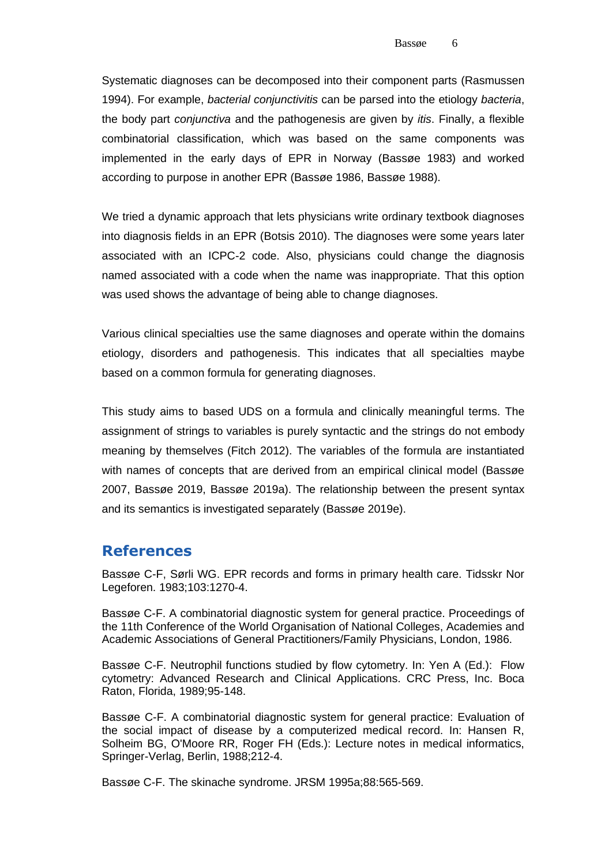Systematic diagnoses can be decomposed into their component parts (Rasmussen 1994). For example, *bacterial conjunctivitis* can be parsed into the etiology *bacteria*, the body part *conjunctiva* and the pathogenesis are given by *itis*. Finally, a flexible combinatorial classification, which was based on the same components was implemented in the early days of EPR in Norway (Bassøe 1983) and worked according to purpose in another EPR (Bassøe 1986, Bassøe 1988).

We tried a dynamic approach that lets physicians write ordinary textbook diagnoses into diagnosis fields in an EPR (Botsis 2010). The diagnoses were some years later associated with an ICPC-2 code. Also, physicians could change the diagnosis named associated with a code when the name was inappropriate. That this option was used shows the advantage of being able to change diagnoses.

Various clinical specialties use the same diagnoses and operate within the domains etiology, disorders and pathogenesis. This indicates that all specialties maybe based on a common formula for generating diagnoses.

This study aims to based UDS on a formula and clinically meaningful terms. The assignment of strings to variables is purely syntactic and the strings do not embody meaning by themselves (Fitch 2012). The variables of the formula are instantiated with names of concepts that are derived from an empirical clinical model (Bassøe 2007, Bassøe 2019, Bassøe 2019a). The relationship between the present syntax and its semantics is investigated separately (Bassøe 2019e).

### **References**

Bassøe C-F, Sørli WG. EPR records and forms in primary health care. Tidsskr Nor Legeforen. 1983;103:1270-4.

Bassøe C-F. A combinatorial diagnostic system for general practice. Proceedings of the 11th Conference of the World Organisation of National Colleges, Academies and Academic Associations of General Practitioners/Family Physicians, London, 1986.

Bassøe C-F. Neutrophil functions studied by flow cytometry. In: Yen A (Ed.): Flow cytometry: Advanced Research and Clinical Applications. CRC Press, Inc. Boca Raton, Florida, 1989;95-148.

Bassøe C-F. A combinatorial diagnostic system for general practice: Evaluation of the social impact of disease by a computerized medical record. In: Hansen R, Solheim BG, O'Moore RR, Roger FH (Eds.): Lecture notes in medical informatics, Springer-Verlag, Berlin, 1988;212-4.

Bassøe C-F. The skinache syndrome. JRSM 1995a;88:565-569.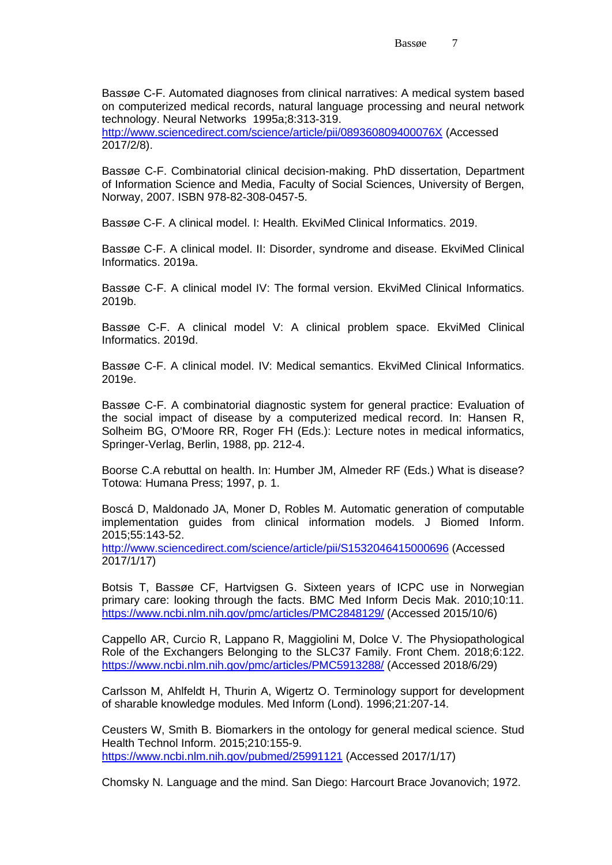Bassøe C-F. Automated diagnoses from clinical narratives: A medical system based on computerized medical records, natural language processing and neural network technology. Neural Networks 1995a;8:313-319.

<http://www.sciencedirect.com/science/article/pii/089360809400076X> (Accessed 2017/2/8).

Bassøe C-F. Combinatorial clinical decision-making. PhD dissertation, Department of Information Science and Media, Faculty of Social Sciences, University of Bergen, Norway, 2007. ISBN 978-82-308-0457-5.

Bassøe C-F. A clinical model. I: Health. EkviMed Clinical Informatics. 2019.

Bassøe C-F. A clinical model. II: Disorder, syndrome and disease. EkviMed Clinical Informatics. 2019a.

Bassøe C-F. A clinical model IV: The formal version. EkviMed Clinical Informatics. 2019b.

Bassøe C-F. A clinical model V: A clinical problem space. EkviMed Clinical Informatics. 2019d.

Bassøe C-F. A clinical model. IV: Medical semantics. EkviMed Clinical Informatics. 2019e.

Bassøe C-F. A combinatorial diagnostic system for general practice: Evaluation of the social impact of disease by a computerized medical record. In: Hansen R, Solheim BG, O'Moore RR, Roger FH (Eds.): Lecture notes in medical informatics, Springer-Verlag, Berlin, 1988, pp. 212-4.

Boorse C.A rebuttal on health. In: Humber JM, Almeder RF (Eds.) What is disease? Totowa: Humana Press; 1997, p. 1.

Boscá D, Maldonado JA, Moner D, Robles M. Automatic generation of computable implementation guides from clinical information models. J Biomed Inform. 2015;55:143-52.

<http://www.sciencedirect.com/science/article/pii/S1532046415000696> (Accessed 2017/1/17)

Botsis T, Bassøe CF, Hartvigsen G. Sixteen years of ICPC use in Norwegian primary care: looking through the facts. BMC Med Inform Decis Mak. 2010;10:11. <https://www.ncbi.nlm.nih.gov/pmc/articles/PMC2848129/> (Accessed 2015/10/6)

Cappello AR, Curcio R, Lappano R, Maggiolini M, Dolce V. The Physiopathological Role of the Exchangers Belonging to the SLC37 Family. Front Chem. 2018;6:122. <https://www.ncbi.nlm.nih.gov/pmc/articles/PMC5913288/> (Accessed 2018/6/29)

Carlsson M, Ahlfeldt H, Thurin A, Wigertz O. Terminology support for development of sharable knowledge modules. Med Inform (Lond). 1996;21:207-14.

Ceusters W, Smith B. Biomarkers in the ontology for general medical science. Stud Health Technol Inform. 2015;210:155-9. <https://www.ncbi.nlm.nih.gov/pubmed/25991121> (Accessed 2017/1/17)

Chomsky N. Language and the mind. San Diego: Harcourt Brace Jovanovich; 1972.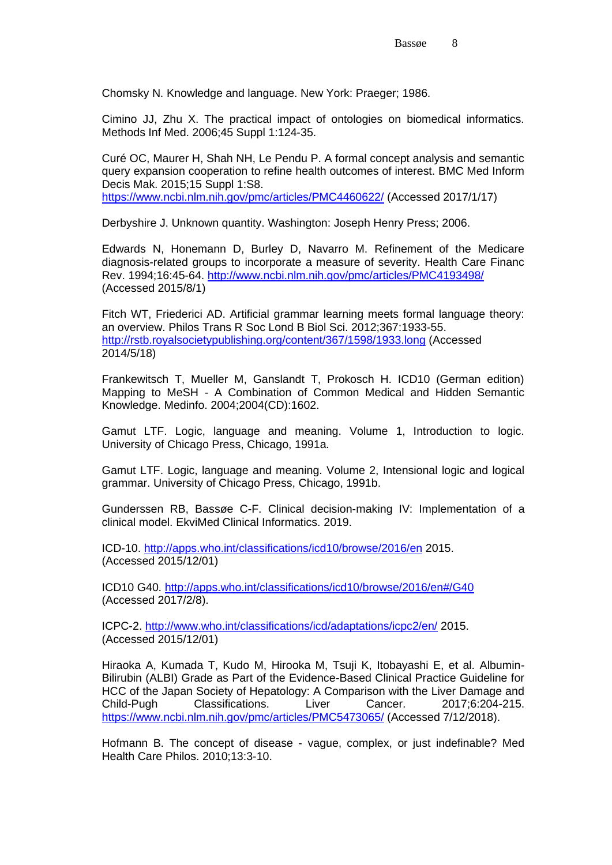Chomsky N. Knowledge and language. New York: Praeger; 1986.

Cimino JJ, Zhu X. The practical impact of ontologies on biomedical informatics. Methods Inf Med. 2006;45 Suppl 1:124-35.

Curé OC, Maurer H, Shah NH, Le Pendu P. A formal concept analysis and semantic query expansion cooperation to refine health outcomes of interest. BMC Med Inform Decis Mak. 2015;15 Suppl 1:S8.

<https://www.ncbi.nlm.nih.gov/pmc/articles/PMC4460622/> (Accessed 2017/1/17)

Derbyshire J. Unknown quantity. Washington: Joseph Henry Press; 2006.

Edwards N, Honemann D, Burley D, Navarro M. Refinement of the Medicare diagnosis-related groups to incorporate a measure of severity. Health Care Financ Rev. 1994;16:45-64. <http://www.ncbi.nlm.nih.gov/pmc/articles/PMC4193498/> (Accessed 2015/8/1)

Fitch WT, Friederici AD. Artificial grammar learning meets formal language theory: an overview. Philos Trans R Soc Lond B Biol Sci. 2012;367:1933-55. <http://rstb.royalsocietypublishing.org/content/367/1598/1933.long> (Accessed 2014/5/18)

Frankewitsch T, Mueller M, Ganslandt T, Prokosch H. ICD10 (German edition) Mapping to MeSH - A Combination of Common Medical and Hidden Semantic Knowledge. Medinfo. 2004;2004(CD):1602.

Gamut LTF. Logic, language and meaning. Volume 1, Introduction to logic. University of Chicago Press, Chicago, 1991a.

Gamut LTF. Logic, language and meaning. Volume 2, Intensional logic and logical grammar. University of Chicago Press, Chicago, 1991b.

Gunderssen RB, Bassøe C-F. Clinical decision-making IV: Implementation of a clinical model. EkviMed Clinical Informatics. 2019.

ICD-10.<http://apps.who.int/classifications/icd10/browse/2016/en> 2015. (Accessed 2015/12/01)

ICD10 G40.<http://apps.who.int/classifications/icd10/browse/2016/en#/G40> (Accessed 2017/2/8).

ICPC-2.<http://www.who.int/classifications/icd/adaptations/icpc2/en/> 2015. (Accessed 2015/12/01)

Hiraoka A, Kumada T, Kudo M, Hirooka M, Tsuji K, Itobayashi E, et al. Albumin-Bilirubin (ALBI) Grade as Part of the Evidence-Based Clinical Practice Guideline for HCC of the Japan Society of Hepatology: A Comparison with the Liver Damage and Child-Pugh Classifications. Liver Cancer. 2017;6:204-215. <https://www.ncbi.nlm.nih.gov/pmc/articles/PMC5473065/> (Accessed 7/12/2018).

Hofmann B. The concept of disease - vague, complex, or just indefinable? Med Health Care Philos. 2010;13:3-10.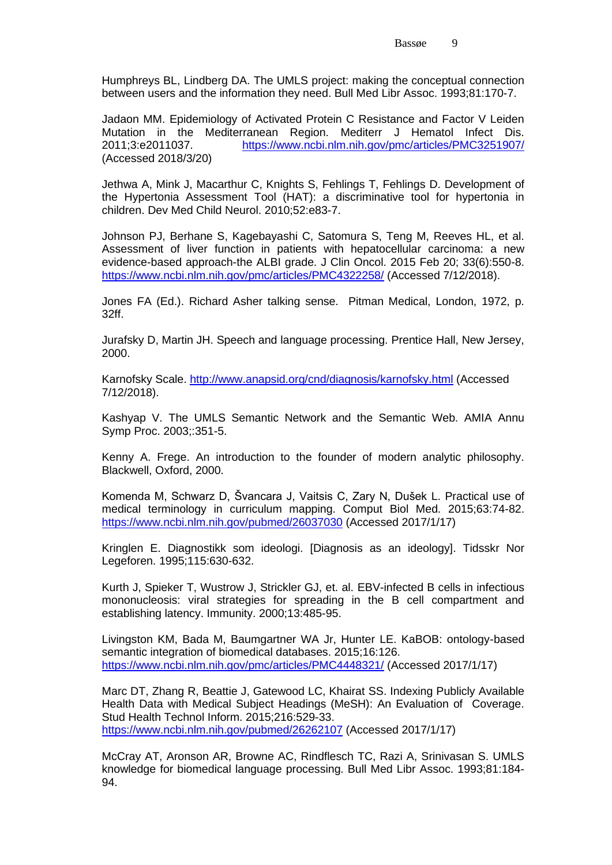Humphreys BL, Lindberg DA. The UMLS project: making the conceptual connection between users and the information they need. Bull Med Libr Assoc. 1993;81:170-7.

Jadaon MM. Epidemiology of Activated Protein C Resistance and Factor V Leiden Mutation in the Mediterranean Region. Mediterr J Hematol Infect Dis. 2011;3:e2011037. <https://www.ncbi.nlm.nih.gov/pmc/articles/PMC3251907/> (Accessed 2018/3/20)

Jethwa A, Mink J, Macarthur C, Knights S, Fehlings T, Fehlings D. Development of the Hypertonia Assessment Tool (HAT): a discriminative tool for hypertonia in children. Dev Med Child Neurol. 2010;52:e83-7.

Johnson PJ, Berhane S, Kagebayashi C, Satomura S, Teng M, Reeves HL, et al. Assessment of liver function in patients with hepatocellular carcinoma: a new evidence-based approach-the ALBI grade. J Clin Oncol. 2015 Feb 20; 33(6):550-8. <https://www.ncbi.nlm.nih.gov/pmc/articles/PMC4322258/> (Accessed 7/12/2018).

Jones FA (Ed.). Richard Asher talking sense. Pitman Medical, London, 1972, p. 32ff.

Jurafsky D, Martin JH. Speech and language processing. Prentice Hall, New Jersey, 2000.

Karnofsky Scale.<http://www.anapsid.org/cnd/diagnosis/karnofsky.html> (Accessed 7/12/2018).

Kashyap V. The UMLS Semantic Network and the Semantic Web. AMIA Annu Symp Proc. 2003;:351-5.

Kenny A. Frege. An introduction to the founder of modern analytic philosophy. Blackwell, Oxford, 2000.

Komenda M, Schwarz D, Švancara J, Vaitsis C, Zary N, Dušek L. Practical use of medical terminology in curriculum mapping. Comput Biol Med. 2015;63:74-82. <https://www.ncbi.nlm.nih.gov/pubmed/26037030> (Accessed 2017/1/17)

Kringlen E. Diagnostikk som ideologi. [Diagnosis as an ideology]. Tidsskr Nor Legeforen. 1995;115:630-632.

Kurth J, Spieker T, Wustrow J, Strickler GJ, et. al. EBV-infected B cells in infectious mononucleosis: viral strategies for spreading in the B cell compartment and establishing latency. Immunity. 2000;13:485-95.

Livingston KM, Bada M, Baumgartner WA Jr, Hunter LE. KaBOB: ontology-based semantic integration of biomedical databases. 2015;16:126. <https://www.ncbi.nlm.nih.gov/pmc/articles/PMC4448321/> (Accessed 2017/1/17)

Marc DT, Zhang R, Beattie J, Gatewood LC, Khairat SS. Indexing Publicly Available Health Data with Medical Subject Headings (MeSH): An Evaluation of Coverage. Stud Health Technol Inform. 2015;216:529-33. <https://www.ncbi.nlm.nih.gov/pubmed/26262107> (Accessed 2017/1/17)

McCray AT, Aronson AR, Browne AC, Rindflesch TC, Razi A, Srinivasan S. UMLS knowledge for biomedical language processing. Bull Med Libr Assoc. 1993;81:184- 94.